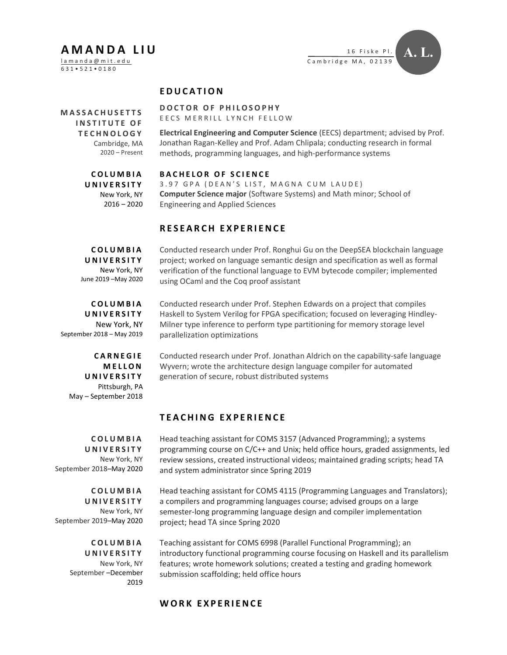# A M A N D A L I U

l a m a n d a @ m i t . e d u 6 3 1 • 5 2 1 • 0 1 8 0



### **EDUCATION**

**MASSACHUSETTS** INSTITUTE OF TE CHNOLOGY Cambridge, MA 2020 – Present

Electrical Engineering and Computer Science (EECS) department; advised by Prof. Jonathan Ragan-Kelley and Prof. Adam Chlipala; conducting research in formal methods, programming languages, and high-performance systems

C O L U M B I A U N I V E R S I T Y New York, NY

 $2016 - 2020$ 

#### BACHELOR OF SCIENCE

DOCTOR OF PHILOSOPHY E E C S MERRILL LYNCH FELLOW

3.97 GPA (DEAN'S LIST, MAGNA CUM LAUDE) Computer Science major (Software Systems) and Math minor; School of Engineering and Applied Sciences

#### RESEARCH EXPERIENCE

C O L U M B I A U N I V E R S I T Y New York, NY June 2019 –May 2020 Conducted research under Prof. Ronghui Gu on the DeepSEA blockchain language project; worked on language semantic design and specification as well as formal verification of the functional language to EVM bytecode compiler; implemented using OCaml and the Coq proof assistant

C O L U M B I A U N I V E R S I T Y New York, NY September 2018 – May 2019

**CARNEGIE MELLON** U N I V E R S I T Y Pittsburgh, PA May – September 2018

C O L U M B I A U N I V E R S I T Y New York, NY September 2018–May 2020

C O L U M B I A **UNIVERSITY** New York, NY September 2019–May 2020

> C O L U M B I A U N I V E R S I T Y New York, NY September –December 2019

Conducted research under Prof. Stephen Edwards on a project that compiles Haskell to System Verilog for FPGA specification; focused on leveraging Hindley-Milner type inference to perform type partitioning for memory storage level parallelization optimizations

Conducted research under Prof. Jonathan Aldrich on the capability-safe language Wyvern; wrote the architecture design language compiler for automated generation of secure, robust distributed systems

## TEACHING EXPERIENCE

Head teaching assistant for COMS 3157 (Advanced Programming); a systems programming course on C/C++ and Unix; held office hours, graded assignments, led review sessions, created instructional videos; maintained grading scripts; head TA and system administrator since Spring 2019

Head teaching assistant for COMS 4115 (Programming Languages and Translators); a compilers and programming languages course; advised groups on a large semester-long programming language design and compiler implementation project; head TA since Spring 2020

Teaching assistant for COMS 6998 (Parallel Functional Programming); an introductory functional programming course focusing on Haskell and its parallelism features; wrote homework solutions; created a testing and grading homework submission scaffolding; held office hours

#### WORK EXPERIENCE